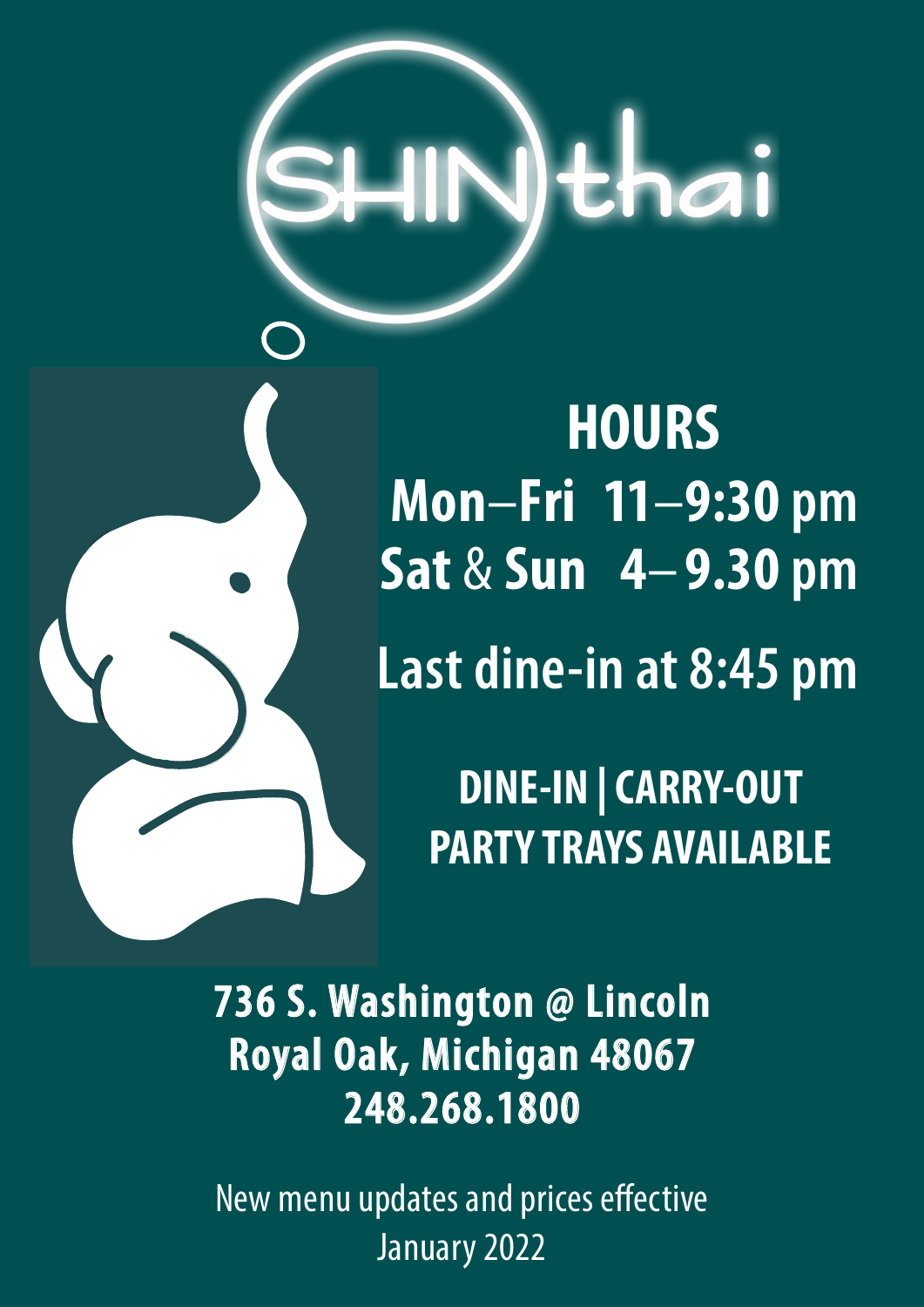# )thai

**HOURS Mon**–**Fri 11**–**9:30 pm Sat** & **Sun 4**– **9.30 pm Last dine-in at 8:45 pm**

> **DINE-IN | CARRY-OUT PARTY TRAYS AVAILABLE**

**736 S. Washington @ Lincoln Royal Oak, Michigan 48067 248.268.1800**

New menu updates and prices effective January 2022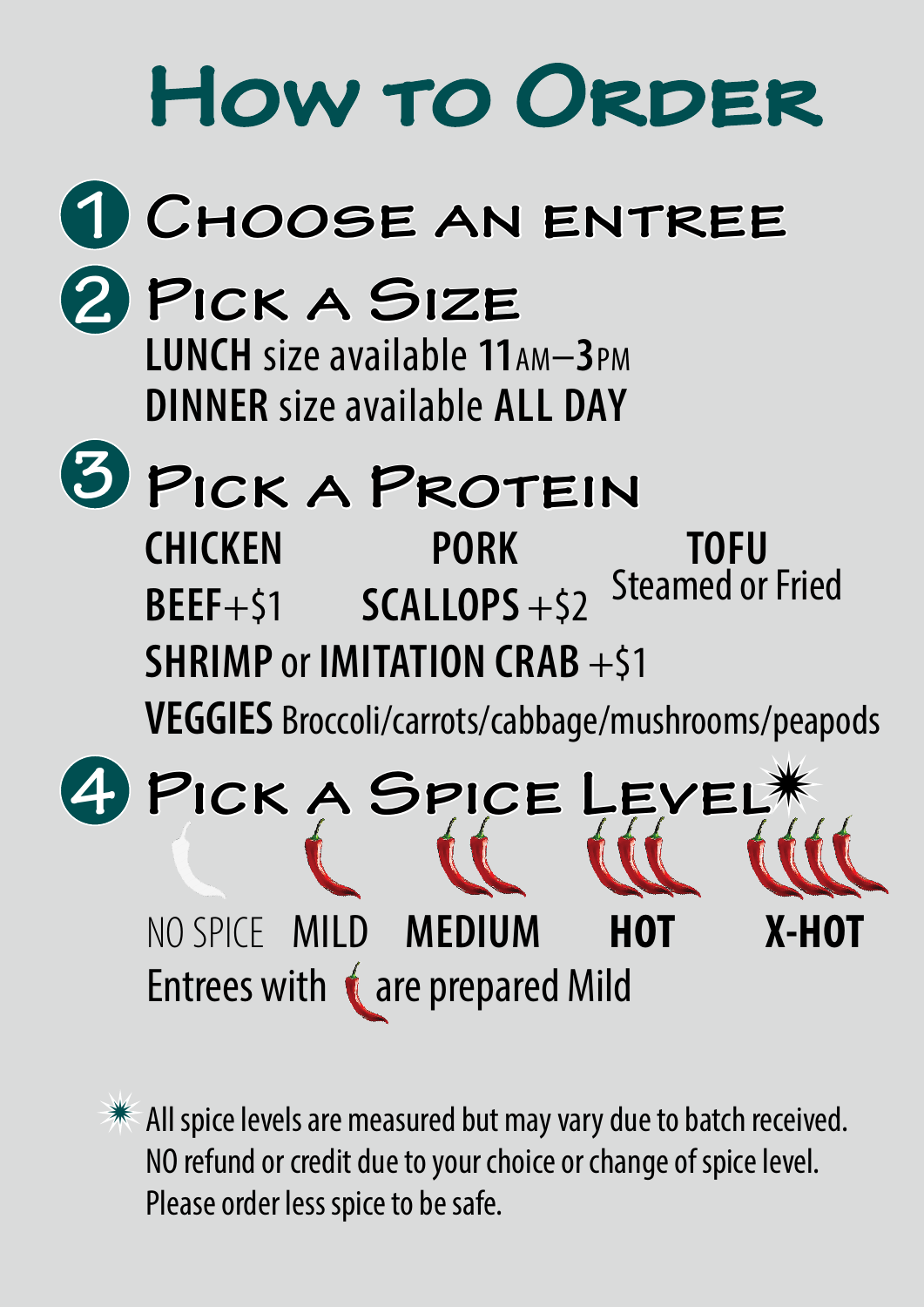

All spice levels are measured but may vary due to batch received. NO refund or credit due to your choice or change of spice level. Please order less spice to be safe.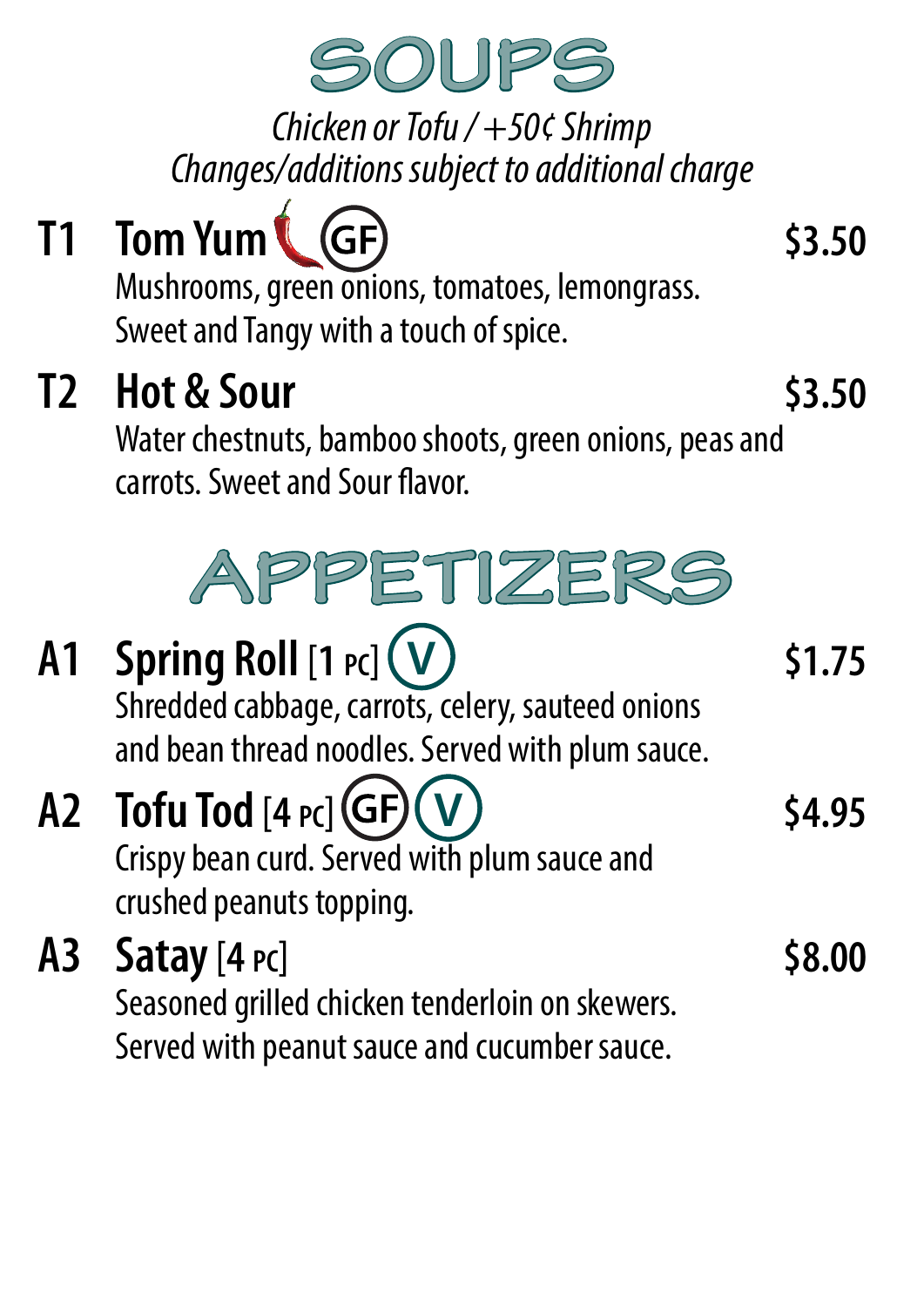

*Chicken or Tofu / +50¢ Shrimp Changes/additions subject to additional charge*

**T1 Tom Yum (GF)** 53.50 Mushrooms, green onions, tomatoes, lemongrass. Sweet and Tangy with a touch of spice. **T2 Hot & Sour \$3.50** Water chestnuts, bamboo shoots, green onions, peas and carrots. Sweet and Sour flavor. **APPETIZERS A1 Spring Roll**  $[1 \text{ } Pc]$  **(V)** 51.75 Shredded cabbage, carrots, celery, sauteed onions and bean thread noodles. Served with plum sauce. A2 **Tofu Tod**  $[4 \text{ pc}](\text{GF})(V)$  \$4.95 Crispy bean curd. Served with plum sauce and **V**

crushed peanuts topping.

**A3 Satay**[**4 pc**] **\$8.00** Seasoned grilled chicken tenderloin on skewers. Served with peanut sauce and cucumber sauce.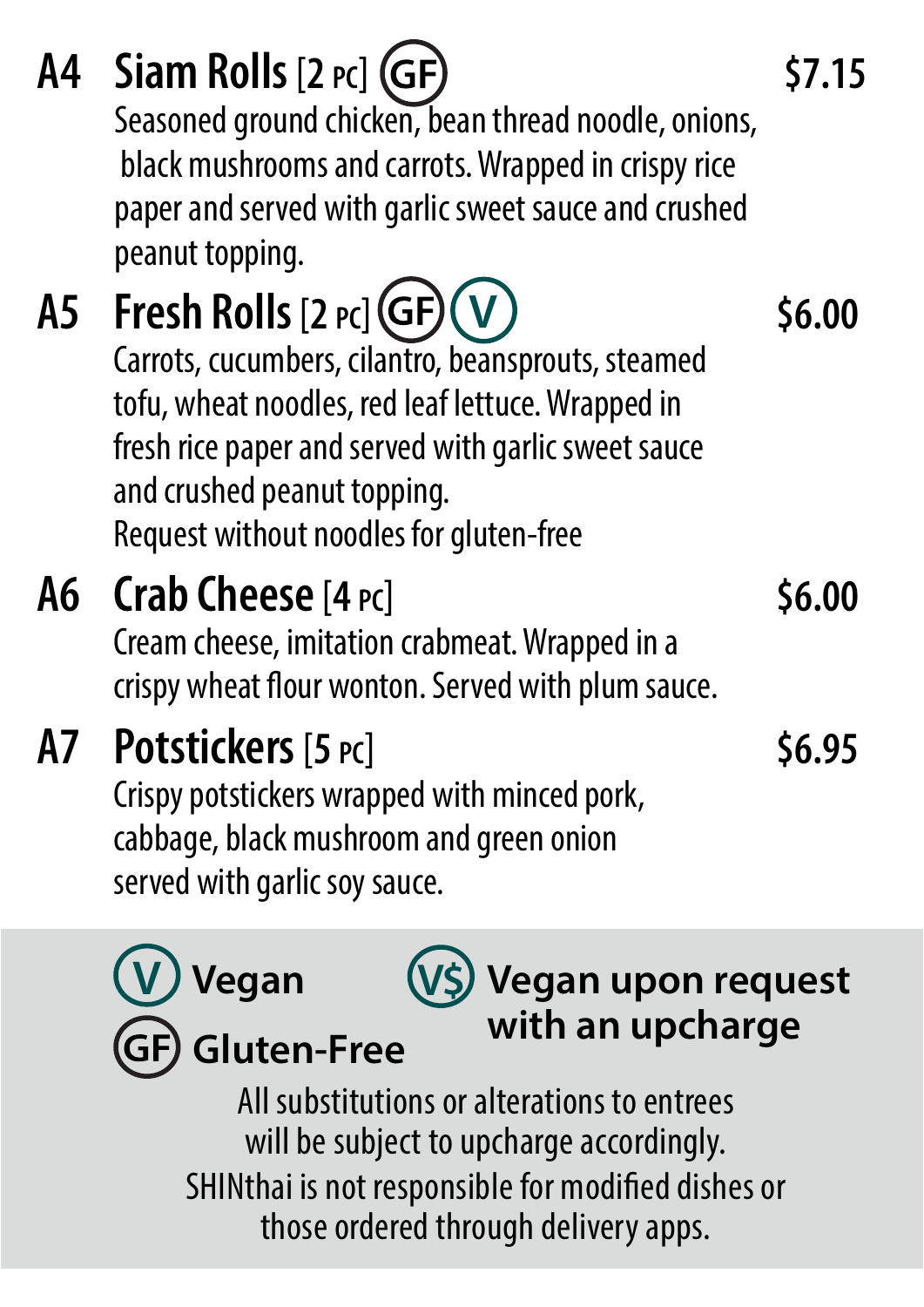**A5 Fresh Rolls**[**2 pc**] **\$6.00** Carrots, cucumbers, cilantro, beansprouts, steamed tofu, wheat noodles, red leaf lettuce. Wrapped in fresh rice paper and served with garlic sweet sauce and crushed peanut topping. Request without noodles for gluten-free **A6 Crab Cheese**[**4 pc**] **\$6.00** Cream cheese, imitation crabmeat. Wrapped in a crispy wheat flour wonton. Served with plum sauce. **A7 Potstickers**[**5 pc**] **\$6.95** Crispy potstickers wrapped with minced pork, cabbage, black mushroom and green onion served with garlic soy sauce. **V A4 Siam Rolls**[**2 pc**] **\$7.15** Seasoned ground chicken, bean thread noodle, onions, black mushrooms and carrots. Wrapped in crispy rice paper and served with garlic sweet sauce and crushed peanut topping.

All substitutions or alterations to entrees will be subject to upcharge accordingly. SHINthai is not responsible for modified dishes or those ordered through delivery apps. **V Vegan GF) Gluten-Free V\$ Vegan upon request with an upcharge**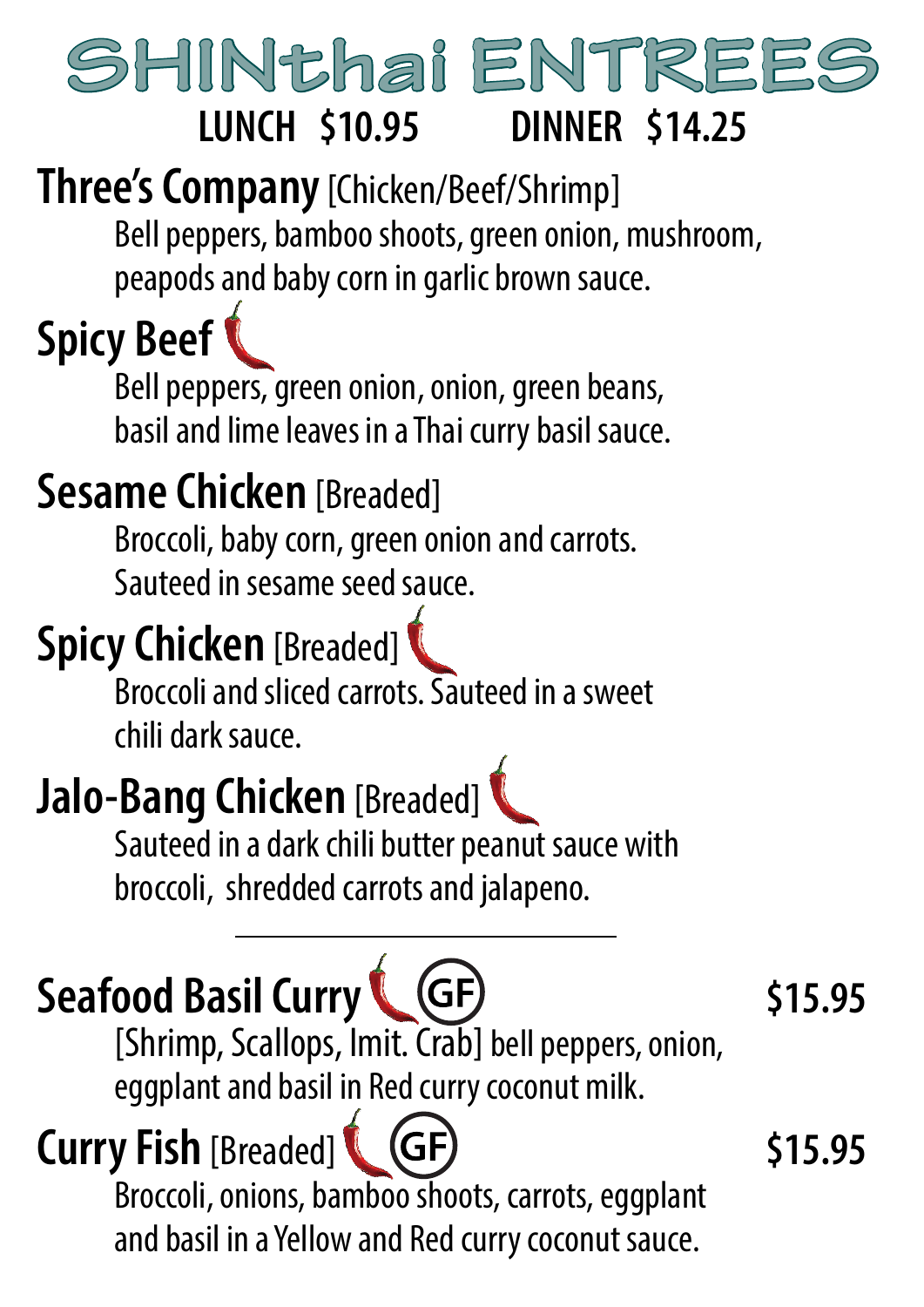## SHINthai ENTREES **LUNCH \$10.95 DINNER \$14.25**

**Three's Company**[Chicken/Beef/Shrimp]

Bell peppers, bamboo shoots, green onion, mushroom, peapods and baby corn in garlic brown sauce.

## **Spicy Beef**

Bell peppers, green onion, onion, green beans, basil and lime leaves in a Thai curry basil sauce.

## **Sesame Chicken** [Breaded]

Broccoli, baby corn, green onion and carrots. Sauteed in sesame seed sauce.

## **Spicy Chicken** [Breaded]

Broccoli and sliced carrots. Sauteed in a sweet chili dark sauce.

## **Jalo-Bang Chicken** [Breaded]

Sauteed in a dark chili butter peanut sauce with broccoli, shredded carrots and jalapeno.

## **Seafood Basil Curry (GF)** \$15.95

[Shrimp, Scallops, Imit. Crab] bell peppers, onion, eggplant and basil in Red curry coconut milk.

### **Curry Fish** [Breaded] **& (GF)** \$15.95 Broccoli, onions, bamboo shoots, carrots, eggplant and basil in a Yellow and Red curry coconut sauce.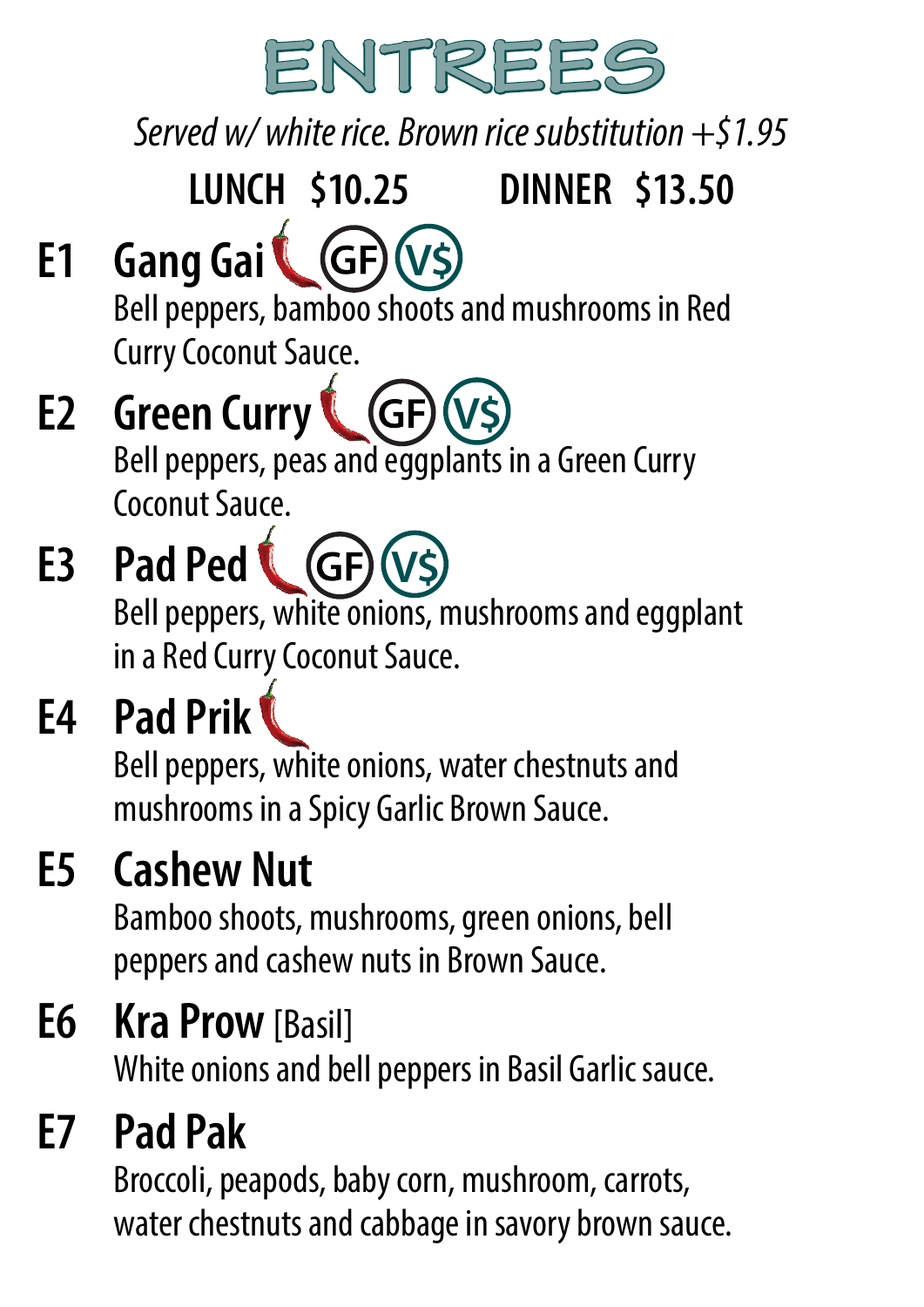

*Served w/ white rice. Brown rice substitution +\$1.95*

## **LUNCH \$10.25 DINNER \$13.50**

#### **E1 Gang Gai V\$**

Bell peppers, bamboo shoots and mushrooms in Red Curry Coconut Sauce.

#### **E2 Green Curry**  $(GF)$ **V\$** Bell peppers, peas and eggplants in a Green Curry Coconut Sauce.

#### **E3 Pad Ped**  $(GF)$ **V\$**Bell peppers, white onions, mushrooms and eggplant in a Red Curry Coconut Sauce.

## **E4 Pad Prik**

Bell peppers, white onions, water chestnuts and mushrooms in a Spicy Garlic Brown Sauce.

## **E5 Cashew Nut**

Bamboo shoots, mushrooms, green onions, bell peppers and cashew nuts in Brown Sauce.

## **E6 Kra Prow**[Basil]

White onions and bell peppers in Basil Garlic sauce.

## **E7 Pad Pak**

Broccoli, peapods, baby corn, mushroom, carrots, water chestnuts and cabbage in savory brown sauce.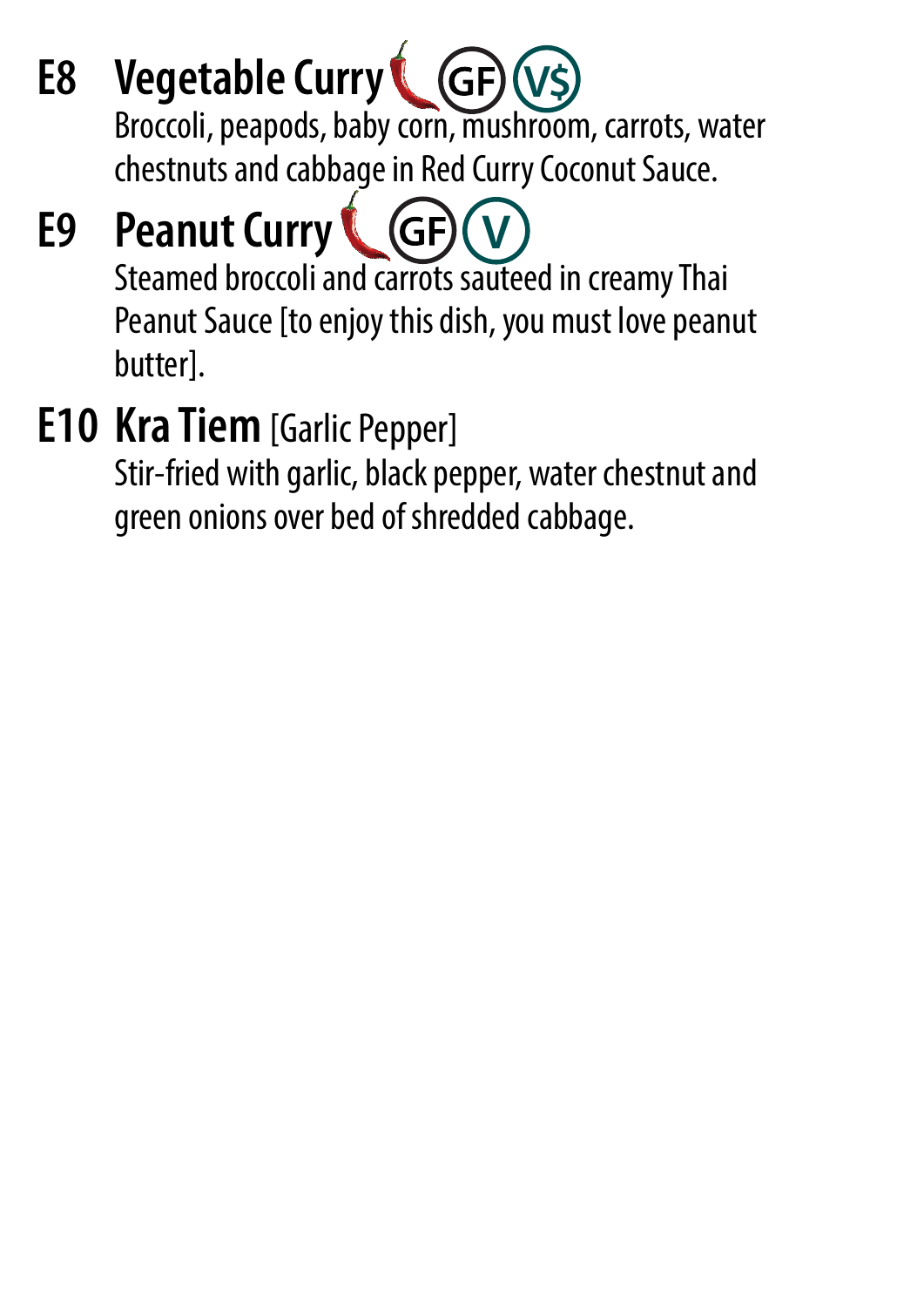**E8 Vegetable Curry** Broccoli, peapods, baby corn, mushroom, carrots, water chestnuts and cabbage in Red Curry Coconut Sauce. **V\$**

#### **E9 Peanut Curry**  $GF$ **V**

Steamed broccoli and carrots sauteed in creamy Thai Peanut Sauce [to enjoy this dish, you must love peanut butter].

## **E10 Kra Tiem** [Garlic Pepper]

Stir-fried with garlic, black pepper, water chestnut and green onions over bed of shredded cabbage.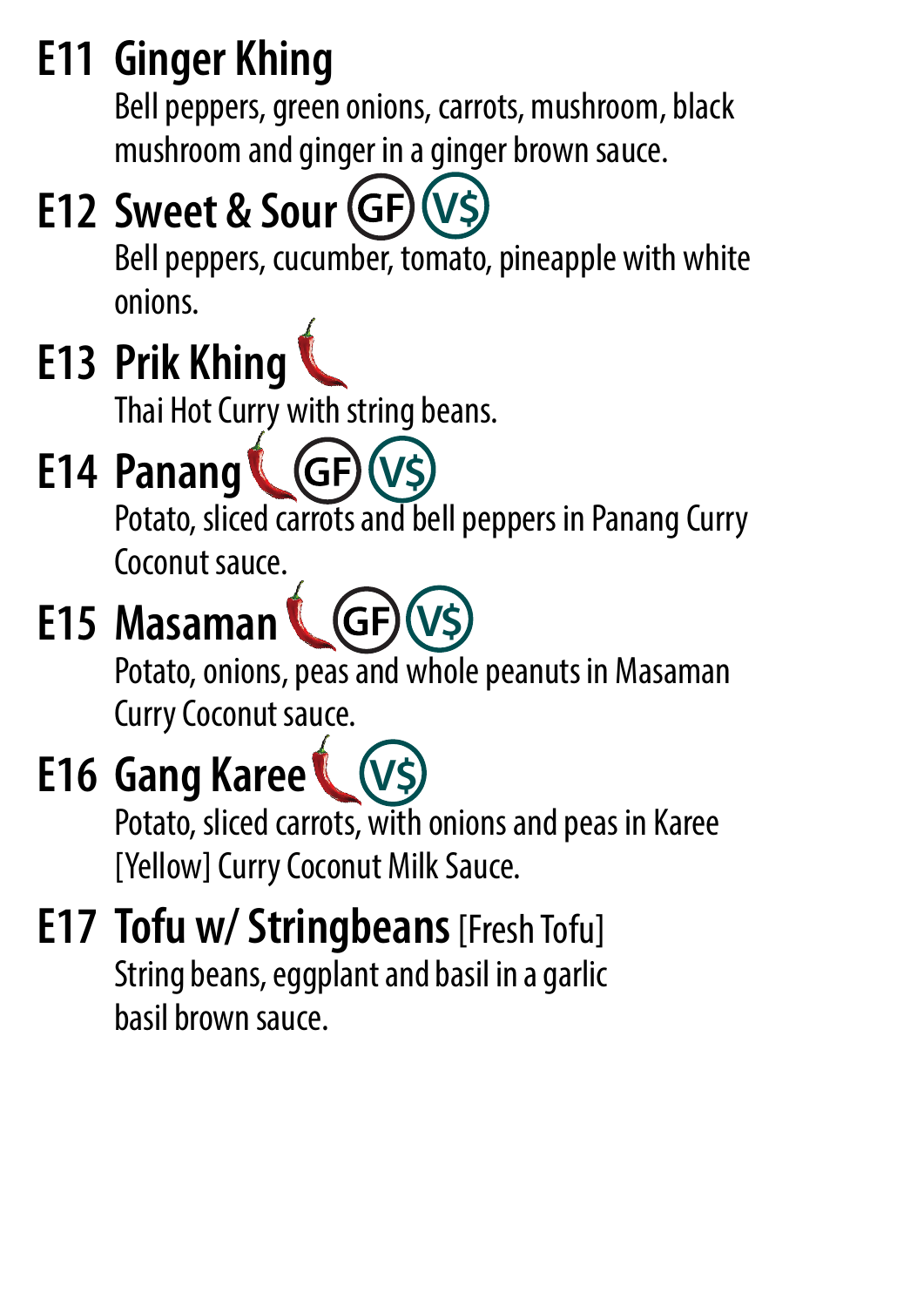## **E11 Ginger Khing**

Bell peppers, green onions, carrots, mushroom, black mushroom and ginger in a ginger brown sauce.

## **E12 Sweet & Sour (GF) (V\$)**

Bell peppers, cucumber, tomato, pineapple with white onions.

## **E13 Prik Khing**

Thai Hot Curry with string beans.

#### **E14 Panang** (GF) **V\$**

Potato, sliced carrots and bell peppers in Panang Curry Coconut sauce.

#### **E15 Masaman V\$** (Gl

Potato, onions, peas and whole peanuts in Masaman Curry Coconut sauce.

#### **E16 Gang Karee V\$**

Potato, sliced carrots, with onions and peas in Karee [Yellow] Curry Coconut Milk Sauce.

### **E17 Tofu w/ Stringbeans** [Fresh Tofu] String beans, eggplant and basil in a garlic basil brown sauce.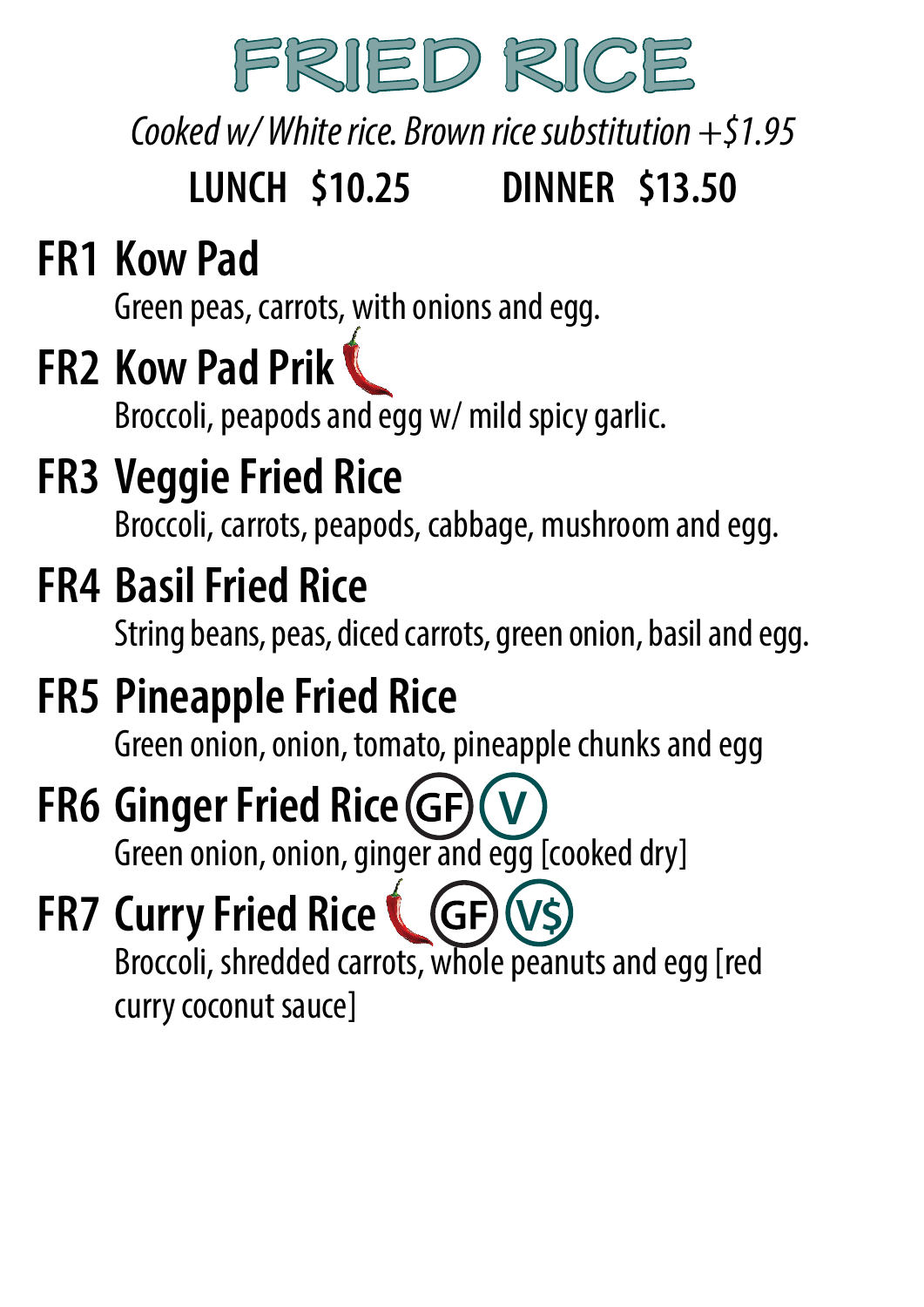

*Cooked w/ White rice. Brown rice substitution +\$1.95*

## **LUNCH \$10.25 DINNER \$13.50**

## **FR1 Kow Pad**

Green peas, carrots, with onions and egg.

## **FR2 Kow Pad Prik**

Broccoli, peapods and egg w/ mild spicy garlic.

## **FR3 Veggie Fried Rice**

Broccoli, carrots, peapods, cabbage, mushroom and egg.

## **FR4 Basil Fried Rice**

String beans, peas, diced carrots, green onion, basil and egg.

## **FR5 Pineapple Fried Rice**

Green onion, onion, tomato, pineapple chunks and egg

#### **FR6 Ginger Fried Rice V**

Green onion, onion, ginger and egg [cooked dry]

#### **FR7 Curry Fried Rice V\$**

Broccoli, shredded carrots, whole peanuts and egg [red curry coconut sauce]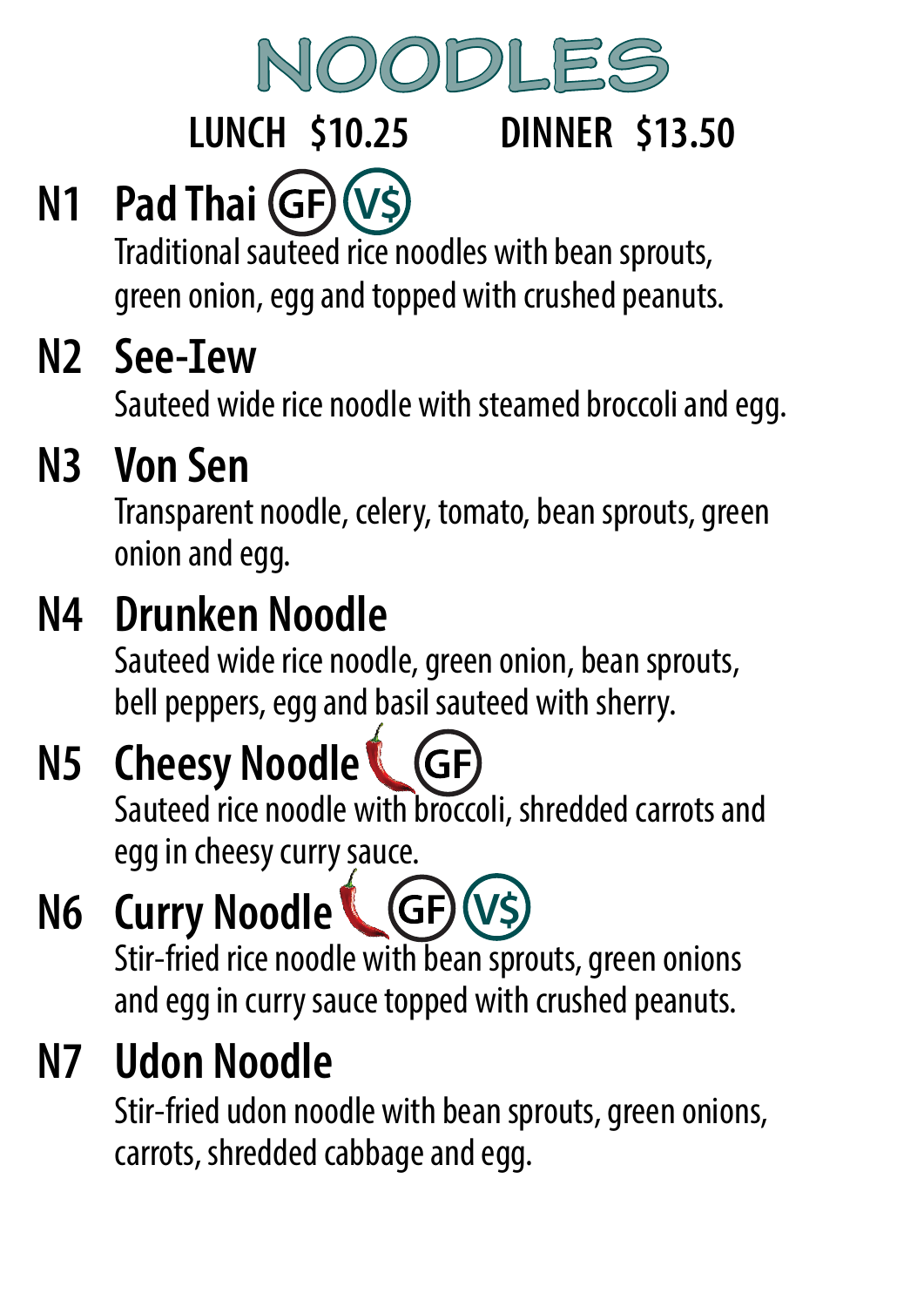

## **LUNCH \$10.25 DINNER \$13.50**

## **N1 Pad Thai (GF) (V\$)**

Traditional sauteed rice noodles with bean sprouts, green onion, egg and topped with crushed peanuts.

## N<sub>2</sub> See-Iew

Sauteed wide rice noodle with steamed broccoli and egg.

## **N3 Von Sen**

Transparent noodle, celery, tomato, bean sprouts, green onion and egg.

## **N4 Drunken Noodle**

Sauteed wide rice noodle, green onion, bean sprouts, bell peppers, egg and basil sauteed with sherry.

## **N5 Cheesy Noodle**

Sauteed rice noodle with broccoli, shredded carrots and egg in cheesy curry sauce.

#### **N6 Curry Noodle V\$** $(GF)$

Stir-fried rice noodle with bean sprouts, green onions and egg in curry sauce topped with crushed peanuts.

## **N7 Udon Noodle**

Stir-fried udon noodle with bean sprouts, green onions, carrots, shredded cabbage and egg.